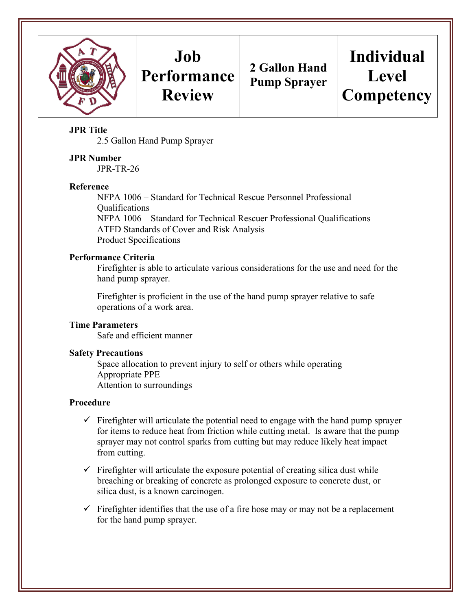

## **Job Performance Review**

**2 Gallon Hand Pump Sprayer**

# **Individual Level Competency**

## **JPR Title**

2.5 Gallon Hand Pump Sprayer

## **JPR Number**

JPR-TR-26

#### **Reference**

NFPA 1006 – Standard for Technical Rescue Personnel Professional Qualifications NFPA 1006 – Standard for Technical Rescuer Professional Qualifications ATFD Standards of Cover and Risk Analysis Product Specifications

## **Performance Criteria**

Firefighter is able to articulate various considerations for the use and need for the hand pump sprayer.

Firefighter is proficient in the use of the hand pump sprayer relative to safe operations of a work area.

#### **Time Parameters**

Safe and efficient manner

#### **Safety Precautions**

Space allocation to prevent injury to self or others while operating Appropriate PPE Attention to surroundings

#### **Procedure**

- $\checkmark$  Firefighter will articulate the potential need to engage with the hand pump sprayer for items to reduce heat from friction while cutting metal. Is aware that the pump sprayer may not control sparks from cutting but may reduce likely heat impact from cutting.
- $\checkmark$  Firefighter will articulate the exposure potential of creating silica dust while breaching or breaking of concrete as prolonged exposure to concrete dust, or silica dust, is a known carcinogen.
- $\checkmark$  Firefighter identifies that the use of a fire hose may or may not be a replacement for the hand pump sprayer.